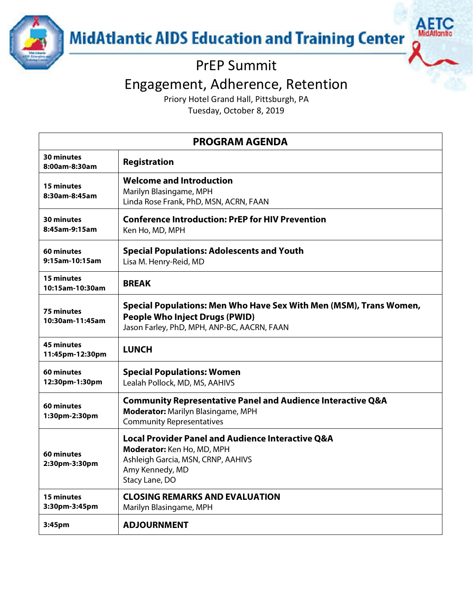

# PrEP Summit

# Engagement, Adherence, Retention

Priory Hotel Grand Hall, Pittsburgh, PA

Tuesday, October 8, 2019

| <b>PROGRAM AGENDA</b>                |                                                                                                                                                                       |  |
|--------------------------------------|-----------------------------------------------------------------------------------------------------------------------------------------------------------------------|--|
| <b>30 minutes</b><br>8:00am-8:30am   | <b>Registration</b>                                                                                                                                                   |  |
| <b>15 minutes</b><br>8:30am-8:45am   | <b>Welcome and Introduction</b><br>Marilyn Blasingame, MPH<br>Linda Rose Frank, PhD, MSN, ACRN, FAAN                                                                  |  |
| 30 minutes<br>8:45am-9:15am          | <b>Conference Introduction: PrEP for HIV Prevention</b><br>Ken Ho, MD, MPH                                                                                            |  |
| 60 minutes<br>9:15am-10:15am         | <b>Special Populations: Adolescents and Youth</b><br>Lisa M. Henry-Reid, MD                                                                                           |  |
| <b>15 minutes</b><br>10:15am-10:30am | <b>BREAK</b>                                                                                                                                                          |  |
| <b>75 minutes</b><br>10:30am-11:45am | Special Populations: Men Who Have Sex With Men (MSM), Trans Women,<br><b>People Who Inject Drugs (PWID)</b><br>Jason Farley, PhD, MPH, ANP-BC, AACRN, FAAN            |  |
| <b>45 minutes</b><br>11:45pm-12:30pm | <b>LUNCH</b>                                                                                                                                                          |  |
| 60 minutes<br>12:30pm-1:30pm         | <b>Special Populations: Women</b><br>Lealah Pollock, MD, MS, AAHIVS                                                                                                   |  |
| 60 minutes<br>1:30pm-2:30pm          | <b>Community Representative Panel and Audience Interactive Q&amp;A</b><br><b>Moderator: Marilyn Blasingame, MPH</b><br><b>Community Representatives</b>               |  |
| 60 minutes<br>2:30pm-3:30pm          | <b>Local Provider Panel and Audience Interactive Q&amp;A</b><br>Moderator: Ken Ho, MD, MPH<br>Ashleigh Garcia, MSN, CRNP, AAHIVS<br>Amy Kennedy, MD<br>Stacy Lane, DO |  |
| 15 minutes<br>3:30pm-3:45pm          | <b>CLOSING REMARKS AND EVALUATION</b><br>Marilyn Blasingame, MPH                                                                                                      |  |
| 3:45 <sub>pm</sub>                   | <b>ADJOURNMENT</b>                                                                                                                                                    |  |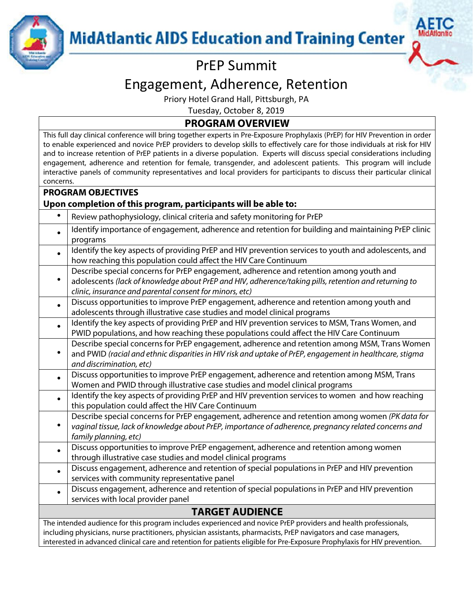

## PrEP Summit

### Engagement, Adherence, Retention

Priory Hotel Grand Hall, Pittsburgh, PA

Tuesday, October 8, 2019

#### **PROGRAM OVERVIEW**

This full day clinical conference will bring together experts in Pre-Exposure Prophylaxis (PrEP) for HIV Prevention in order to enable experienced and novice PrEP providers to develop skills to effectively care for those individuals at risk for HIV and to increase retention of PrEP patients in a diverse population. Experts will discuss special considerations including engagement, adherence and retention for female, transgender, and adolescent patients. This program will include interactive panels of community representatives and local providers for participants to discuss their particular clinical concerns.

#### **PROGRAM OBJECTIVES**

#### **Upon completion of this program, participants will be able to:**

|                                                                                                                           | Review pathophysiology, clinical criteria and safety monitoring for PrEP                                        |  |
|---------------------------------------------------------------------------------------------------------------------------|-----------------------------------------------------------------------------------------------------------------|--|
|                                                                                                                           | Identify importance of engagement, adherence and retention for building and maintaining PrEP clinic             |  |
|                                                                                                                           | programs                                                                                                        |  |
|                                                                                                                           | Identify the key aspects of providing PrEP and HIV prevention services to youth and adolescents, and            |  |
|                                                                                                                           | how reaching this population could affect the HIV Care Continuum                                                |  |
|                                                                                                                           | Describe special concerns for PrEP engagement, adherence and retention among youth and                          |  |
|                                                                                                                           | adolescents (lack of knowledge about PrEP and HIV, adherence/taking pills, retention and returning to           |  |
|                                                                                                                           | clinic, insurance and parental consent for minors, etc)                                                         |  |
|                                                                                                                           | Discuss opportunities to improve PrEP engagement, adherence and retention among youth and                       |  |
|                                                                                                                           | adolescents through illustrative case studies and model clinical programs                                       |  |
|                                                                                                                           | Identify the key aspects of providing PrEP and HIV prevention services to MSM, Trans Women, and                 |  |
|                                                                                                                           | PWID populations, and how reaching these populations could affect the HIV Care Continuum                        |  |
|                                                                                                                           | Describe special concerns for PrEP engagement, adherence and retention among MSM, Trans Women                   |  |
|                                                                                                                           | and PWID (racial and ethnic disparities in HIV risk and uptake of PrEP, engagement in healthcare, stigma        |  |
|                                                                                                                           | and discrimination, etc)                                                                                        |  |
|                                                                                                                           | Discuss opportunities to improve PrEP engagement, adherence and retention among MSM, Trans                      |  |
|                                                                                                                           | Women and PWID through illustrative case studies and model clinical programs                                    |  |
|                                                                                                                           | Identify the key aspects of providing PrEP and HIV prevention services to women and how reaching                |  |
|                                                                                                                           | this population could affect the HIV Care Continuum                                                             |  |
|                                                                                                                           | Describe special concerns for PrEP engagement, adherence and retention among women (PK data for                 |  |
|                                                                                                                           | vaginal tissue, lack of knowledge about PrEP, importance of adherence, pregnancy related concerns and           |  |
|                                                                                                                           | family planning, etc)                                                                                           |  |
|                                                                                                                           | Discuss opportunities to improve PrEP engagement, adherence and retention among women                           |  |
|                                                                                                                           | through illustrative case studies and model clinical programs                                                   |  |
|                                                                                                                           | Discuss engagement, adherence and retention of special populations in PrEP and HIV prevention                   |  |
|                                                                                                                           | services with community representative panel                                                                    |  |
|                                                                                                                           | Discuss engagement, adherence and retention of special populations in PrEP and HIV prevention                   |  |
|                                                                                                                           | services with local provider panel                                                                              |  |
| <b>TARGET AUDIENCE</b>                                                                                                    |                                                                                                                 |  |
|                                                                                                                           | The intended audience for this program includes experienced and novice PrEP providers and health professionals, |  |
| including physicians, nurse practitioners, physician assistants, pharmacists, PrEP navigators and case managers,          |                                                                                                                 |  |
| interested in advanced clinical care and retention for patients eligible for Pre-Exposure Prophylaxis for HIV prevention. |                                                                                                                 |  |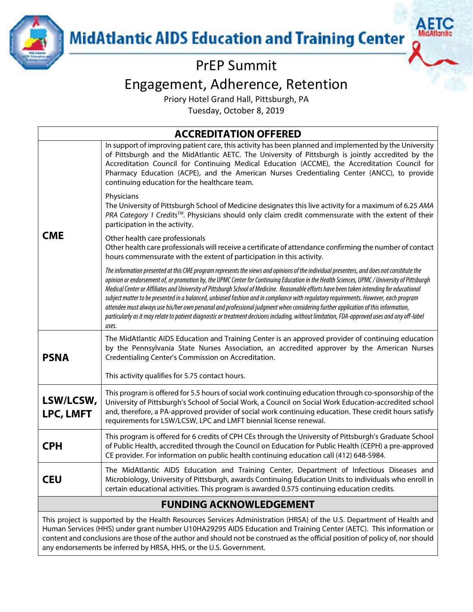

## PrEP Summit

### Engagement, Adherence, Retention

Priory Hotel Grand Hall, Pittsburgh, PA

Tuesday, October 8, 2019

**ACCREDITATION OFFERED**

| <b>CME</b>                     | In support of improving patient care, this activity has been planned and implemented by the University<br>of Pittsburgh and the MidAtlantic AETC. The University of Pittsburgh is jointly accredited by the<br>Accreditation Council for Continuing Medical Education (ACCME), the Accreditation Council for<br>Pharmacy Education (ACPE), and the American Nurses Credentialing Center (ANCC), to provide<br>continuing education for the healthcare team.                                                                                                                                                                                                                                                                                                                                                                                                                    |  |
|--------------------------------|--------------------------------------------------------------------------------------------------------------------------------------------------------------------------------------------------------------------------------------------------------------------------------------------------------------------------------------------------------------------------------------------------------------------------------------------------------------------------------------------------------------------------------------------------------------------------------------------------------------------------------------------------------------------------------------------------------------------------------------------------------------------------------------------------------------------------------------------------------------------------------|--|
|                                | Physicians<br>The University of Pittsburgh School of Medicine designates this live activity for a maximum of 6.25 AMA<br>PRA Category 1 Credits™. Physicians should only claim credit commensurate with the extent of their<br>participation in the activity.                                                                                                                                                                                                                                                                                                                                                                                                                                                                                                                                                                                                                  |  |
|                                | Other health care professionals<br>Other health care professionals will receive a certificate of attendance confirming the number of contact<br>hours commensurate with the extent of participation in this activity.                                                                                                                                                                                                                                                                                                                                                                                                                                                                                                                                                                                                                                                          |  |
|                                | The information presented at this CME program represents the views and opinions of the individual presenters, and does not constitute the<br>opinion or endorsement of, or promotion by, the UPMC Center for Continuing Education in the Health Sciences, UPMC / University of Pittsburgh<br>Medical Center or Affiliates and University of Pittsburgh School of Medicine. Reasonable efforts have been taken intending for educational<br>subject matter to be presented in a balanced, unbiased fashion and in compliance with regulatory requirements. However, each program<br>attendee must always use his/her own personal and professional judgment when considering further application of this information,<br>particularly as it may relate to patient diagnostic or treatment decisions including, without limitation, FDA-approved uses and any off-label<br>uses. |  |
| <b>PSNA</b>                    | The MidAtlantic AIDS Education and Training Center is an approved provider of continuing education<br>by the Pennsylvania State Nurses Association, an accredited approver by the American Nurses<br>Credentialing Center's Commission on Accreditation.                                                                                                                                                                                                                                                                                                                                                                                                                                                                                                                                                                                                                       |  |
|                                | This activity qualifies for 5.75 contact hours.                                                                                                                                                                                                                                                                                                                                                                                                                                                                                                                                                                                                                                                                                                                                                                                                                                |  |
| LSW/LCSW,<br><b>LPC, LMFT</b>  | This program is offered for 5.5 hours of social work continuing education through co-sponsorship of the<br>University of Pittsburgh's School of Social Work, a Council on Social Work Education-accredited school<br>and, therefore, a PA-approved provider of social work continuing education. These credit hours satisfy<br>requirements for LSW/LCSW, LPC and LMFT biennial license renewal.                                                                                                                                                                                                                                                                                                                                                                                                                                                                               |  |
| <b>CPH</b>                     | This program is offered for 6 credits of CPH CEs through the University of Pittsburgh's Graduate School<br>of Public Health, accredited through the Council on Education for Public Health (CEPH) a pre-approved<br>CE provider. For information on public health continuing education call (412) 648-5984.                                                                                                                                                                                                                                                                                                                                                                                                                                                                                                                                                                    |  |
| <b>CEU</b>                     | The MidAtlantic AIDS Education and Training Center, Department of Infectious Diseases and<br>Microbiology, University of Pittsburgh, awards Continuing Education Units to individuals who enroll in<br>certain educational activities. This program is awarded 0.575 continuing education credits.                                                                                                                                                                                                                                                                                                                                                                                                                                                                                                                                                                             |  |
| <b>FUNDING ACKNOWLEDGEMENT</b> |                                                                                                                                                                                                                                                                                                                                                                                                                                                                                                                                                                                                                                                                                                                                                                                                                                                                                |  |
|                                |                                                                                                                                                                                                                                                                                                                                                                                                                                                                                                                                                                                                                                                                                                                                                                                                                                                                                |  |

This project is supported by the Health Resources Services Administration (HRSA) of the U.S. Department of Health and Human Services (HHS) under grant number U10HA29295 AIDS Education and Training Center (AETC). This information or content and conclusions are those of the author and should not be construed as the official position of policy of, nor should any endorsements be inferred by HRSA, HHS, or the U.S. Government.